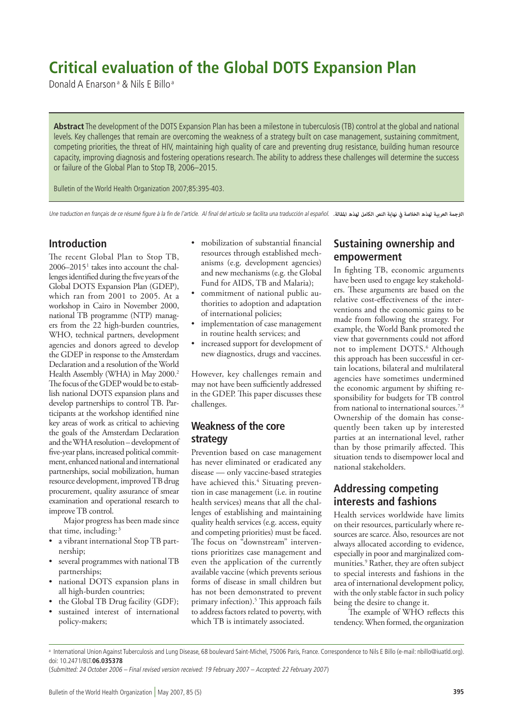# **Critical evaluation of the Global DOTS Expansion Plan**

Donald A Enarson<sup>a</sup> & Nils E Billo<sup>a</sup>

**Abstract** The development of the DOTS Expansion Plan has been a milestone in tuberculosis (TB) control at the global and national levels. Key challenges that remain are overcoming the weakness of a strategy built on case management, sustaining commitment, competing priorities, the threat of HIV, maintaining high quality of care and preventing drug resistance, building human resource capacity, improving diagnosis and fostering operations research. The ability to address these challenges will determine the success or failure of the Global Plan to Stop TB, 2006–2015.

Bulletin of the World Health Organization 2007;85:395-403.

Une traduction en français de ce résumé figure à la fin de l'article. Al final del artículo se facilita una traducción al español. *الرتجمة العربية لهذه الخالصة يف نهاية النص الكامل لهذه املقالة.*

## **Introduction**

The recent Global Plan to Stop TB,  $2006 - 2015<sup>1</sup>$  takes into account the challenges identified during the five years of the Global DOTS Expansion Plan (GDEP), which ran from 2001 to 2005. At a workshop in Cairo in November 2000, national TB programme (NTP) managers from the 22 high-burden countries, WHO, technical partners, development agencies and donors agreed to develop the GDEP in response to the Amsterdam Declaration and a resolution of the World Health Assembly (WHA) in May 2000.<sup>2</sup> The focus of the GDEP would be to establish national DOTS expansion plans and develop partnerships to control TB. Participants at the workshop identified nine key areas of work as critical to achieving the goals of the Amsterdam Declaration and the WHA resolution – development of five-year plans, increased political commitment, enhanced national and international partnerships, social mobilization, human resource development, improved TB drug procurement, quality assurance of smear examination and operational research to improve TB control.

Major progress has been made since that time, including: <sup>3</sup>

- a vibrant international Stop TB part-• nership;
- several programmes with national TB partnerships; •
- national DOTS expansion plans in all high-burden countries; •
- the Global TB Drug facility (GDF); •
- sustained interest of international policy-makers; •
- mobilization of substantial financial resources through established mechanisms (e.g. development agencies) and new mechanisms (e.g. the Global Fund for AIDS, TB and Malaria);
- commitment of national public au-• thorities to adoption and adaptation of international policies;
- implementation of case management in routine health services; and •
- increased support for development of new diagnostics, drugs and vaccines. •

However, key challenges remain and may not have been sufficiently addressed in the GDEP. This paper discusses these challenges.

## **Weakness of the core strategy**

Prevention based on case management has never eliminated or eradicated any disease — only vaccine-based strategies have achieved this.<sup>4</sup> Situating prevention in case management (i.e. in routine health services) means that all the challenges of establishing and maintaining quality health services (e.g. access, equity and competing priorities) must be faced. The focus on "downstream" interventions prioritizes case management and even the application of the currently available vaccine (which prevents serious forms of disease in small children but has not been demonstrated to prevent primary infection).<sup>5</sup> This approach fails to address factors related to poverty, with which TB is intimately associated.

## **Sustaining ownership and empowerment**

In fighting TB, economic arguments have been used to engage key stakeholders. These arguments are based on the relative cost-effectiveness of the interventions and the economic gains to be made from following the strategy. For example, the World Bank promoted the view that governments could not afford not to implement DOTS.<sup>6</sup> Although this approach has been successful in certain locations, bilateral and multilateral agencies have sometimes undermined the economic argument by shifting responsibility for budgets for TB control from national to international sources.<sup>7,8</sup> Ownership of the domain has consequently been taken up by interested parties at an international level, rather than by those primarily affected. This situation tends to disempower local and national stakeholders.

## **Addressing competing interests and fashions**

Health services worldwide have limits on their resources, particularly where resources are scarce. Also, resources are not always allocated according to evidence, especially in poor and marginalized communities.9 Rather, they are often subject to special interests and fashions in the area of international development policy, with the only stable factor in such policy being the desire to change it.

The example of WHO reflects this tendency. When formed, the organization

(Submitted: 24 October 2006 – Final revised version received: 19 February 2007 – Accepted: 22 February 2007)

a International Union Against Tuberculosis and Lung Disease, 68 boulevard Saint-Michel, 75006 Paris, France. Correspondence to Nils E Billo (e-mail: nbillo@iuatld.org). doi: 10.2471/BLT.**06.035378**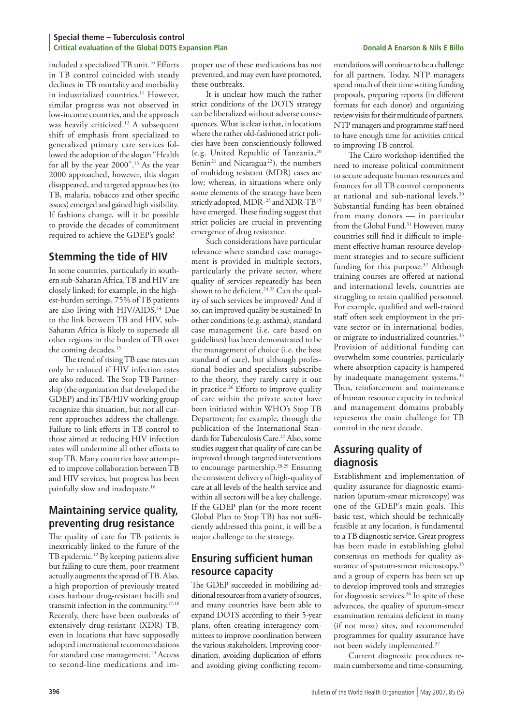### **Special theme – Tuberculosis control Critical evaluation of the Global DOTS Expansion Plan Donald A Enarson & Nils E Billo**

included a specialized TB unit.<sup>10</sup> Efforts in TB control coincided with steady declines in TB mortality and morbidity in industrialized countries.<sup>11</sup> However, similar progress was not observed in low-income countries, and the approach was heavily criticized.<sup>12</sup> A subsequent shift of emphasis from specialized to generalized primary care services followed the adoption of the slogan "Health for all by the year 2000".13 As the year 2000 approached, however, this slogan disappeared, and targeted approaches (to TB, malaria, tobacco and other specific issues) emerged and gained high visibility. If fashions change, will it be possible to provide the decades of commitment required to achieve the GDEP's goals?

## **Stemming the tide of HIV**

In some countries, particularly in southern sub-Saharan Africa, TB and HIV are closely linked; for example, in the highest-burden settings, 75% of TB patients are also living with HIV/AIDS.14 Due to the link between TB and HIV, sub-Saharan Africa is likely to supersede all other regions in the burden of TB over the coming decades.<sup>15</sup>

The trend of rising TB case rates can only be reduced if HIV infection rates are also reduced. The Stop TB Partnership (the organization that developed the GDEP) and its TB/HIV working group recognize this situation, but not all current approaches address the challenge. Failure to link efforts in TB control to those aimed at reducing HIV infection rates will undermine all other efforts to stop TB. Many countries have attempted to improve collaboration between TB and HIV services, but progress has been painfully slow and inadequate.16

## **Maintaining service quality, preventing drug resistance**

The quality of care for TB patients is inextricably linked to the future of the TB epidemic.<sup>12</sup> By keeping patients alive but failing to cure them, poor treatment actually augments the spread of TB. Also, a high proportion of previously treated cases harbour drug-resistant bacilli and transmit infection in the community.17,18 Recently, there have been outbreaks of extensively drug-resistant (XDR) TB, even in locations that have supposedly adopted international recommendations for standard case management.<sup>19</sup> Access to second-line medications and improper use of these medications has not prevented, and may even have promoted, these outbreaks.

It is unclear how much the rather strict conditions of the DOTS strategy can be liberalized without adverse consequences. What is clear is that, in locations where the rather old-fashioned strict policies have been conscientiously followed (e.g. United Republic of Tanzania,<sup>20</sup> Benin<sup>21</sup> and Nicaragua<sup>22</sup>), the numbers of multidrug resistant (MDR) cases are low; whereas, in situations where only some elements of the strategy have been strictly adopted, MDR-<sup>23</sup> and XDR-TB<sup>19</sup> have emerged. These finding suggest that strict policies are crucial in preventing emergence of drug resistance.

Such considerations have particular relevance where standard case management is provided in multiple sectors, particularly the private sector, where quality of services repeatedly has been shown to be deficient.<sup>24,25</sup> Can the quality of such services be improved? And if so, can improved quality be sustained? In other conditions (e.g. asthma), standard case management (i.e. care based on guidelines) has been demonstrated to be the management of choice (i.e. the best standard of care), but although professional bodies and specialists subscribe to the theory, they rarely carry it out in practice. $26$  Efforts to improve quality of care within the private sector have been initiated within WHO's Stop TB Department; for example, through the publication of the International Standards for Tuberculosis Care.<sup>27</sup> Also, some studies suggest that quality of care can be improved through targeted interventions to encourage partnership.28,29 Ensuring the consistent delivery of high-quality of care at all levels of the health service and within all sectors will be a key challenge. If the GDEP plan (or the more recent Global Plan to Stop TB) has not sufficiently addressed this point, it will be a major challenge to the strategy.

## **Ensuring sufficient human resource capacity**

The GDEP succeeded in mobilizing additional resources from a variety of sources, and many countries have been able to expand DOTS according to their 5-year plans, often creating interagency committees to improve coordination between the various stakeholders. Improving coordination, avoiding duplication of efforts and avoiding giving conflicting recom-

mendations will continue to be a challenge for all partners. Today, NTP managers spend much of their time writing funding proposals, preparing reports (in different formats for each donor) and organizing review visits for their multitude of partners. NTP managers and programme staff need to have enough time for activities critical to improving TB control.

The Cairo workshop identified the need to increase political commitment to secure adequate human resources and finances for all TB control components at national and sub-national levels.30 Substantial funding has been obtained from many donors — in particular from the Global Fund.<sup>31</sup> However, many countries still find it difficult to implement effective human resource development strategies and to secure sufficient funding for this purpose.<sup>32</sup> Although training courses are offered at national and international levels, countries are struggling to retain qualified personnel. For example, qualified and well-trained staff often seek employment in the private sector or in international bodies, or migrate to industrialized countries.<sup>33</sup> Provision of additional funding can overwhelm some countries, particularly where absorption capacity is hampered by inadequate management systems.<sup>34</sup> Thus, reinforcement and maintenance of human resource capacity in technical and management domains probably represents the main challenge for TB control in the next decade.

## **Assuring quality of diagnosis**

Establishment and implementation of quality assurance for diagnostic examination (sputum-smear microscopy) was one of the GDEP's main goals. This basic test, which should be technically feasible at any location, is fundamental to a TB diagnostic service. Great progress has been made in establishing global consensus on methods for quality assurance of sputum-smear microscopy,<sup>35</sup> and a group of experts has been set up to develop improved tools and strategies for diagnostic services.36 In spite of these advances, the quality of sputum-smear examination remains deficient in many (if not most) sites, and recommended programmes for quality assurance have not been widely implemented.37

Current diagnostic procedures remain cumbersome and time-consuming.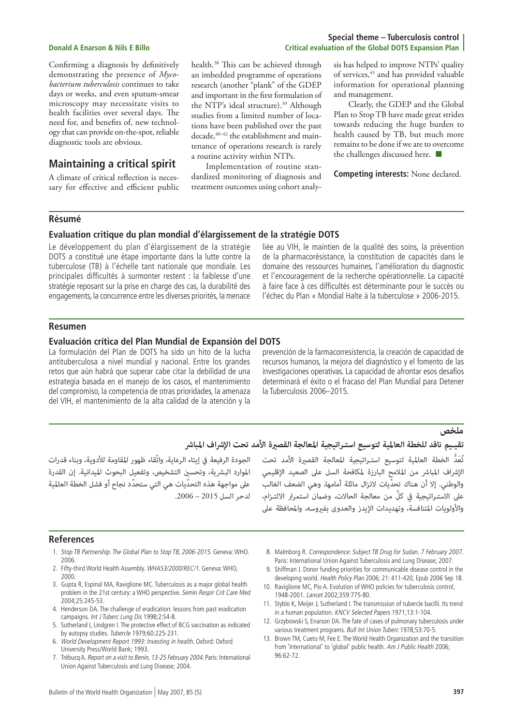Confirming a diagnosis by definitively demonstrating the presence of *Mycobacterium tuberculosis* continues to take days or weeks, and even sputum-smear microscopy may necessitate visits to health facilities over several days. The need for, and benefits of, new technology that can provide on-the-spot, reliable diagnostic tools are obvious.

## **Maintaining a critical spirit**

A climate of critical reflection is necessary for effective and efficient public

#### **Special theme – Tuberculosis control Donald A Enarson & Nils E Billo Critical evaluation of the Global DOTS Expansion Plan**

health. 38 This can be achieved through an imbedded programme of operations research (another "plank" of the GDEP and important in the first formulation of the NTP's ideal structure).<sup>39</sup> Although studies from a limited number of locations have been published over the past decade,<sup>40-42</sup> the establishment and maintenance of operations research is rarely a routine activity within NTPs.

Implementation of routine standardized monitoring of diagnosis and treatment outcomes using cohort analysis has helped to improve NTPs' quality of services, $43$  and has provided valuable information for operational planning and management.

Clearly, the GDEP and the Global Plan to Stop TB have made great strides towards reducing the huge burden to health caused by TB, but much more remains to be done if we are to overcome the challenges discussed here.  $\blacksquare$ 

**Competing interests:** None declared.

### **Résumé**

#### **Evaluation critique du plan mondial d'élargissement de la stratégie DOTS**

Le développement du plan d'élargissement de la stratégie DOTS a constitué une étape importante dans la lutte contre la tuberculose (TB) à l'échelle tant nationale que mondiale. Les principales difficultés à surmonter restent : la faiblesse d'une stratégie reposant sur la prise en charge des cas, la durabilité des engagements, la concurrence entre les diverses priorités, la menace

liée au VIH, le maintien de la qualité des soins, la prévention de la pharmacorésistance, la constitution de capacités dans le domaine des ressources humaines, l'amélioration du diagnostic et l'encouragement de la recherche opérationnelle. La capacité à faire face à ces difficultés est déterminante pour le succès ou l'échec du Plan « Mondial Halte à la tuberculose » 2006-2015.

### **Resumen**

#### **Evaluación crítica del Plan Mundial de Expansión del DOTS**

La formulación del Plan de DOTS ha sido un hito de la lucha antituberculosa a nivel mundial y nacional. Entre los grandes retos que aún habrá que superar cabe citar la debilidad de una estrategia basada en el manejo de los casos, el mantenimiento del compromiso, la competencia de otras prioridades, la amenaza del VIH, el mantenimiento de la alta calidad de la atención y la

prevención de la farmacorresistencia, la creación de capacidad de recursos humanos, la mejora del diagnóstico y el fomento de las investigaciones operativas. La capacidad de afrontar esos desafíos determinará el éxito o el fracaso del Plan Mundial para Detener la Tuberculosis 2006–2015.

على مواجهة هذه التحدِّيات هي التي ستحدِّد نجاح أو فشل الخطة العالمية

**ملخص**<br>تقيـيم **ناقد للخطة العالمية لتوسيع استـراتيجية المعالجة القصيرة الأمد تحت الإشراف المباشر<br>الإشراف المباشر من الملامح البارزة لمكافحة السل على الصعيد الإقليمي الموددة الرفيعة في إيتاء الرعاية، واتّقاء ظهور المقاو** 

### **References**

- 1. Stop TB Partnership. The Global Plan to Stop TB, 2006-2015. Geneva: WHO. 2006.
- 2. Fifty-third World Health Assembly. WHA53/2000/REC/1. Geneva: WHO, 2000.
- 3. Gupta R, Espinal MA, Raviglione MC. Tuberculosis as a major global health problem in the 21st century: a WHO perspective. Semin Respir Crit Care Med 2004;25:245-53.
- 4. Henderson DA. The challenge of eradication: lessons from past eradication campaigns. Int J Tuberc Lung Dis 1998;2:S4-8.
- 5. Sutherland I, Lindgren I. The protective effect of BCG vaccination as indicated by autopsy studies. Tubercle 1979;60:225-231.
- 6. World Development Report 1993: Investing in health. Oxford: Oxford University Press/World Bank; 1993.
- 7. Trébucq A. Report on a visit to Benin, 13-25 February 2004. Paris: International Union Against Tuberculosis and Lung Disease; 2004.
- 8. Malmborg R. Correspondence: Subject TB Drug for Sudan. 7 February 2007. Paris: International Union Against Tuberculosis and Lung Disease; 2007.
- 9. Shiffman J. Donor funding priorities for communicable disease control in the developing world. Health Policy Plan 2006; 21: 411-420, Epub 2006 Sep 18. 10. Raviglione MC, Pio A. Evolution of WHO policies for tuberculosis control,
- 1948-2001. Lancet 2002;359:775-80.
- 11. Styblo K, Meijer J, Sutherland I. The transmission of tubercle bacilli. Its trend in a human population. KNCV Selected Papers 1971;13:1-104.
- 12. Grzybowski S, Enarson DA. The fate of cases of pulmonary tuberculosis under various treatment programs. Bull Int Union Tuberc 1978;53:70-5.
- 13. Brown TM, Cueto M, Fee E. The World Health Organization and the transition from 'international' to 'global' public health. Am J Public Health 2006; 96:62-72.